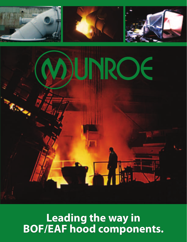

**Leading the way in BOF/EAF hood components.**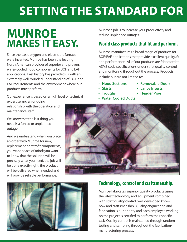## **SETTING THE STANDARD FOR**

### **MUNROE MAKES IT EASY.**

Since the basic oxygen and electric arc furnace were invented, Munroe has been the leading North American provider of superior and proven, water-cooled hood components for BOF and EAF applications. Past history has provided us with an extremely well-rounded understanding of BOF and EAF requirements and the environment where our products must perform.

Our experience is based on a high level of technical expertise and an ongoing relationship with the operation and maintenance staff.

We know that the last thing you need is a forced or unplanned outage.

And we understand when you place an order with Munroe for new, replacement or retrofit components, you want peace of mind; you want to know that the solution will be precisely what you need, the job will be done exactly right, the product will be delivered when needed and will provide reliable performance.

Munroe's job is to increase your productivity and reduce unplanned outages.

### **World class products that fit and perform.**

Munroe manufactures a broad range of products for BOF/EAF applications that provide excellent quality, fit and performance. All of our products are fabricated to ASME code specifications under strict quality control and monitoring throughout the process. Products include but are not limited to:

- **Hood Sections**
- **Skirts**
- **Troughs**
- **Lance Inserts • Header Pipe**

**• Removable Doors**

**• Water Cooled Ducts**





#### **Technology, control and craftsmanship.**

Munroe fabricates superior quality products using the latest technology and equipment combined with strict quality control, well developed knowhow and craftsmanship. Quality engineering and fabrication is our priority and each employee working on the project is certified to perform their specific task. Quality control is maintained through random testing and sampling throughout the fabrication/ manufacturing process.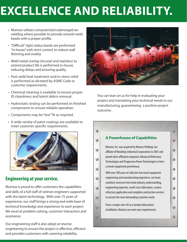# **EXCELLENCE AND RELIABILITY.**

- Munroe utilizes computerized submerged arc welding where possible to provide smooth weld beads with a proper profile.
- • "Difficult" tight radius bends are performed "in house" with strict control, to reduce wall thinning and ovality.
- Weld metal overlay (Inconel and stainless) to extend product life is performed in-house, reducing delays and ensuring quality.
- Post weld heat treatment and/or stress relief is performed as dictated by ASME Code or customer requirements.
- Chemical cleaning is available to ensure proper ID cleanliness and latent debris removal.
- Hydrostatic testing can be performed on finished components to ensure reliable operation.
- • Components may be "test" fit as required.
- A wide variety of paint coatings are available to meet customer specific requirements.



#### **Engineering at your service.**

Munroe is proud to offer customers the capabilities and skills of a full staff of veteran engineers supported with the latest technology. With over 75 years of experience, our staff brings a strong and wide base of technical knowledge and experience to each project. We excel at problem solving, customer interaction and assistance.

Our engineering staff is also adept at reverse engineering to ensure the project is effective, efficient and provides customers with unerring reliability.



You can lean on us for help in evaluating your project and translating your technical needs to our manufacturing, guaranteeing a positive project outcome.